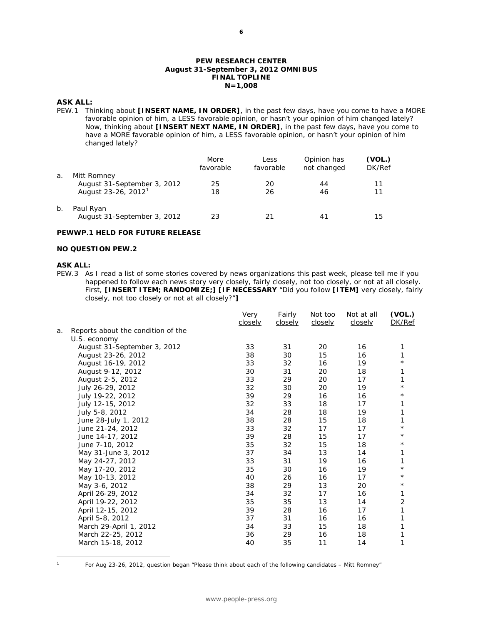### **PEW RESEARCH CENTER August 31-September 3, 2012 OMNIBUS FINAL TOPLINE N=1,008**

### **ASK ALL:**

PEW.1 Thinking about **[INSERT NAME, IN ORDER]**, in the past few days, have you come to have a MORE favorable opinion of him, a LESS favorable opinion, or hasn't your opinion of him changed lately? Now, thinking about **[INSERT NEXT NAME, IN ORDER]**, in the past few days, have you come to have a MORE favorable opinion of him, a LESS favorable opinion, or hasn't your opinion of him changed lately?

|       |                                                                               | More<br>favorable | Less<br>favorable | Opinion has<br>not changed | (VOL.)<br>DK/Ref |
|-------|-------------------------------------------------------------------------------|-------------------|-------------------|----------------------------|------------------|
| a.    | Mitt Romney<br>August 31-September 3, 2012<br>August 23-26, 2012 <sup>1</sup> | 25<br>18          | 20<br>26          | 44<br>46                   | 11<br>11         |
| $b$ . | Paul Ryan<br>August 31-September 3, 2012                                      | 23                | 21                | 41                         | 15               |

### **PEWWP.1 HELD FOR FUTURE RELEASE**

### **NO QUESTION PEW.2**

### **ASK ALL:**

PEW.3 As I read a list of some stories covered by news organizations this past week, please tell me if you happened to follow each news story very closely, fairly closely, not too closely, or not at all closely. First, **[INSERT ITEM; RANDOMIZE;] [IF NECESSARY** "Did you follow **[ITEM]** very closely, fairly closely, not too closely or not at all closely?"**]**

|    |                                    | Very<br>closely | Fairly<br>closely | Not too<br>closely | Not at all<br>closely | (VOL.)<br>DK/Ref |
|----|------------------------------------|-----------------|-------------------|--------------------|-----------------------|------------------|
| a. | Reports about the condition of the |                 |                   |                    |                       |                  |
|    | U.S. economy                       |                 |                   |                    |                       |                  |
|    | August 31-September 3, 2012        | 33              | 31                | 20                 | 16                    | 1                |
|    | August 23-26, 2012                 | 38              | 30                | 15                 | 16                    | 1                |
|    | August 16-19, 2012                 | 33              | 32                | 16                 | 19                    | $^\star$         |
|    | August 9-12, 2012                  | 30              | 31                | 20                 | 18                    | 1                |
|    | August 2-5, 2012                   | 33              | 29                | 20                 | 17                    | 1                |
|    | July 26-29, 2012                   | 32              | 30                | 20                 | 19                    | $\star$          |
|    | July 19-22, 2012                   | 39              | 29                | 16                 | 16                    | $^\star$         |
|    | July 12-15, 2012                   | 32              | 33                | 18                 | 17                    | 1                |
|    | July 5-8, 2012                     | 34              | 28                | 18                 | 19                    | 1                |
|    | June 28-July 1, 2012               | 38              | 28                | 15                 | 18                    | 1                |
|    | June 21-24, 2012                   | 33              | 32                | 17                 | 17                    | $\star$          |
|    | June 14-17, 2012                   | 39              | 28                | 15                 | 17                    | $^\star$         |
|    | June 7-10, 2012                    | 35              | 32                | 15                 | 18                    | $^\star$         |
|    | May 31-June 3, 2012                | 37              | 34                | 13                 | 14                    | 1                |
|    | May 24-27, 2012                    | 33              | 31                | 19                 | 16                    | 1                |
|    | May 17-20, 2012                    | 35              | 30                | 16                 | 19                    | $\star$          |
|    | May 10-13, 2012                    | 40              | 26                | 16                 | 17                    | $^\star$         |
|    | May 3-6, 2012                      | 38              | 29                | 13                 | 20                    | $^\star$         |
|    | April 26-29, 2012                  | 34              | 32                | 17                 | 16                    | 1                |
|    | April 19-22, 2012                  | 35              | 35                | 13                 | 14                    | $\overline{2}$   |
|    | April 12-15, 2012                  | 39              | 28                | 16                 | 17                    | 1                |
|    | April 5-8, 2012                    | 37              | 31                | 16                 | 16                    | 1                |
|    | March 29-April 1, 2012             | 34              | 33                | 15                 | 18                    | 1                |
|    | March 22-25, 2012                  | 36              | 29                | 16                 | 18                    | 1                |
|    | March 15-18, 2012                  | 40              | 35                | 11                 | 14                    | 1                |
|    |                                    |                 |                   |                    |                       |                  |

<span id="page-0-0"></span> $\overline{a}$ 

For Aug 23-26, 2012, question began "Please think about each of the following candidates – Mitt Romney"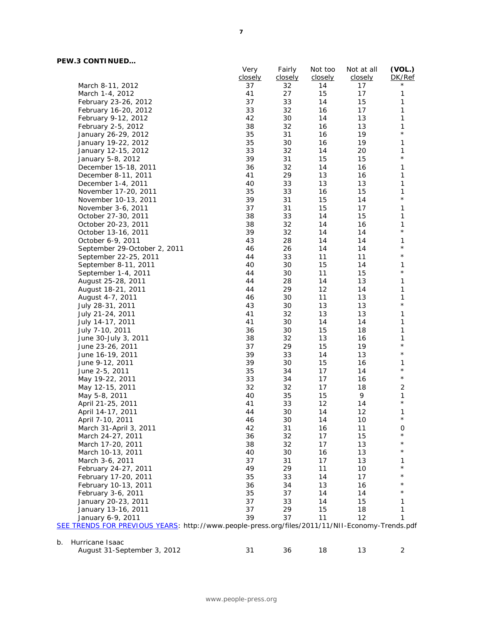# **PEW.3 CONTINUED…**

|                              | Very    | Fairly  | Not too | Not at all | (VOL.)       |
|------------------------------|---------|---------|---------|------------|--------------|
|                              | closely | closely | closely | closely    | DK/Ref       |
| March 8-11, 2012             | 37      | 32      | 14      | 17         | $^\star$     |
| March 1-4, 2012              | 41      | 27      | 15      | 17         | 1            |
| February 23-26, 2012         | 37      | 33      | 14      | 15         | 1            |
| February 16-20, 2012         | 33      | 32      | 16      | 17         | $\mathbf{1}$ |
| February 9-12, 2012          | 42      | 30      | 14      | 13         | 1            |
| February 2-5, 2012           | 38      | 32      | 16      | 13         | 1            |
| January 26-29, 2012          | 35      | 31      | 16      | 19         | $\star$      |
| January 19-22, 2012          | 35      | 30      | 16      | 19         | 1            |
| January 12-15, 2012          | 33      | 32      | 14      | 20         | 1            |
| January 5-8, 2012            | 39      | 31      | 15      | 15         | $\star$      |
| December 15-18, 2011         | 36      | 32      | 14      | 16         | $\mathbf{1}$ |
| December 8-11, 2011          | 41      | 29      | 13      | 16         | 1            |
| December 1-4, 2011           | 40      | 33      | 13      | 13         | $\mathbf{1}$ |
| November 17-20, 2011         | 35      | 33      | 16      | 15         | 1            |
| November 10-13, 2011         | 39      | 31      | 15      | 14         | $\star$      |
| November 3-6, 2011           | 37      | 31      | 15      | 17         | $\mathbf{1}$ |
| October 27-30, 2011          | 38      | 33      | 14      | 15         | $\mathbf{1}$ |
| October 20-23, 2011          | 38      | 32      | 14      | 16         | $\mathbf{1}$ |
| October 13-16, 2011          | 39      | 32      | 14      | 14         | $\star$      |
| October 6-9, 2011            | 43      | 28      | 14      | 14         | 1            |
| September 29-October 2, 2011 | 46      | 26      | 14      | 14         | $\star$      |
| September 22-25, 2011        | 44      | 33      | 11      | 11         | $\star$      |
| September 8-11, 2011         | 40      | 30      | 15      | 14         | 1            |
| September 1-4, 2011          | 44      | 30      | 11      | 15         | $\star$      |
| August 25-28, 2011           | 44      | 28      | 14      | 13         | 1            |
| August 18-21, 2011           | 44      | 29      | 12      | 14         | 1            |
| August 4-7, 2011             | 46      | 30      | 11      | 13         | 1            |
| July 28-31, 2011             | 43      | 30      | 13      | 13         | $\star$      |
| July 21-24, 2011             | 41      | 32      | 13      | 13         | $\mathbf{1}$ |
| July 14-17, 2011             | 41      | 30      | 14      | 14         | 1            |
| July 7-10, 2011              | 36      | 30      | 15      | 18         | $\mathbf{1}$ |
| June 30-July 3, 2011         | 38      | 32      | 13      | 16         | 1            |
| June 23-26, 2011             | 37      | 29      | 15      | 19         | $\star$      |
| June 16-19, 2011             | 39      | 33      | 14      | 13         | $\star$      |
| June 9-12, 2011              | 39      | 30      | 15      | 16         | 1            |
| June 2-5, 2011               | 35      | 34      | 17      | 14         | $\star$      |
| May 19-22, 2011              | 33      | 34      | 17      | 16         | $\star$      |
| May 12-15, 2011              | 32      | 32      | 17      | 18         | $\sqrt{2}$   |
| May 5-8, 2011                | 40      | 35      | 15      | 9          | 1            |
| April 21-25, 2011            | 41      | 33      | 12      | 14         | $\star$      |
| April 14-17, 2011            | 44      | 30      | 14      | 12         | 1            |
| April 7-10, 2011             | 46      | 30      | 14      | 10         | $^\star$     |
|                              | 42      | 31      | 16      | 11         | 0            |
| March 31-April 3, 2011       |         |         | 17      | 15         | $^\star$     |
| March 24-27, 2011            | 36      | 32      |         |            | $^\star$     |
| March 17-20, 2011            | 38      | 32      | 17      | 13         | $^\star$     |
| March 10-13, 2011            | 40      | 30      | 16      | 13         |              |
| March 3-6, 2011              | 37      | 31      | 17      | 13         | 1            |
| February 24-27, 2011         | 49      | 29      | 11      | 10         |              |
| February 17-20, 2011         | 35      | 33      | 14      | 17         |              |
| February 10-13, 2011         | 36      | 34      | 13      | 16         |              |
| February 3-6, 2011           | 35      | 37      | 14      | 14         |              |
| January 20-23, 2011          | 37      | 33      | 14      | 15         | 1            |
| January 13-16, 2011          | 37      | 29      | 15      | 18         | 1            |
| January 6-9, 2011            | 39      | 37      | 11      | 12         | 1            |

| -- | .                           |  |  |  |
|----|-----------------------------|--|--|--|
|    | August 31-September 3, 2012 |  |  |  |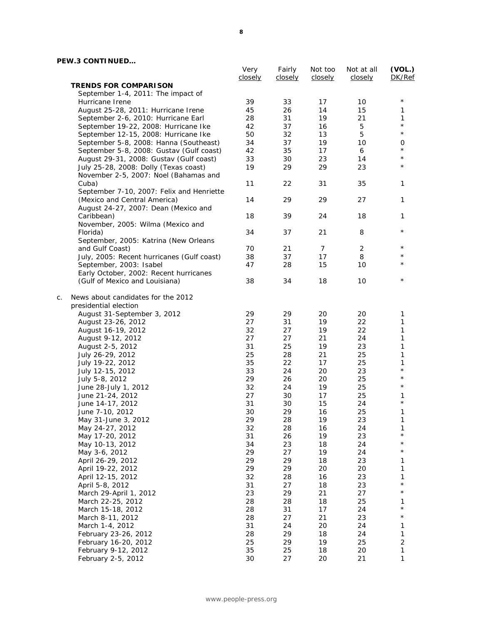## **PEW.3 CONTINUED…**

|    |                                                                      | Very<br>closely | Fairly<br>closely | Not too<br>closely | Not at all<br>closely | (VOL.)<br>DK/Ref    |
|----|----------------------------------------------------------------------|-----------------|-------------------|--------------------|-----------------------|---------------------|
|    | <b>TRENDS FOR COMPARISON</b>                                         |                 |                   |                    |                       |                     |
|    | September 1-4, 2011: The impact of                                   |                 |                   |                    |                       |                     |
|    | Hurricane Irene                                                      | 39              | 33                | 17                 | 10                    | $^\star$            |
|    | August 25-28, 2011: Hurricane Irene                                  | 45              | 26                | 14                 | 15                    | 1                   |
|    | September 2-6, 2010: Hurricane Earl                                  | 28              | 31                | 19                 | 21                    | 1                   |
|    | September 19-22, 2008: Hurricane Ike                                 | 42              | 37                | 16                 | 5                     | $^{\star}$          |
|    | September 12-15, 2008: Hurricane Ike                                 | 50              | 32                | 13                 | 5                     | $\star$             |
|    | September 5-8, 2008: Hanna (Southeast)                               | 34              | 37                | 19                 | 10                    | 0                   |
|    | September 5-8, 2008: Gustav (Gulf coast)                             | 42              | 35                | 17                 | 6                     | $^\star$            |
|    | August 29-31, 2008: Gustav (Gulf coast)                              | 33              | 30                | 23                 | 14                    | $^\star$            |
|    | July 25-28, 2008: Dolly (Texas coast)                                | 19              | 29                | 29                 | 23                    | $^\star$            |
|    | November 2-5, 2007: Noel (Bahamas and                                |                 |                   |                    |                       |                     |
|    | Cuba)                                                                | 11              | 22                | 31                 | 35                    | 1                   |
|    | September 7-10, 2007: Felix and Henriette                            | 14              | 29                |                    |                       |                     |
|    | (Mexico and Central America)<br>August 24-27, 2007: Dean (Mexico and |                 |                   | 29                 | 27                    | 1                   |
|    | Caribbean)                                                           | 18              | 39                | 24                 | 18                    | 1                   |
|    | November, 2005: Wilma (Mexico and                                    |                 |                   |                    |                       |                     |
|    | Florida)                                                             | 34              | 37                | 21                 | 8                     | $^\star$            |
|    | September, 2005: Katrina (New Orleans                                |                 |                   |                    |                       |                     |
|    | and Gulf Coast)                                                      | 70              | 21                | $\overline{7}$     | $\overline{c}$        | $^\star$            |
|    | July, 2005: Recent hurricanes (Gulf coast)                           | 38              | 37                | 17                 | 8                     | $^\star$            |
|    | September, 2003: Isabel                                              | 47              | 28                | 15                 | 10                    | $^\star$            |
|    | Early October, 2002: Recent hurricanes                               |                 |                   |                    |                       |                     |
|    | (Gulf of Mexico and Louisiana)                                       | 38              | 34                | 18                 | 10                    | $^\star$            |
| C. | News about candidates for the 2012                                   |                 |                   |                    |                       |                     |
|    | presidential election                                                |                 |                   |                    |                       |                     |
|    | August 31-September 3, 2012                                          | 29              | 29                | 20                 | 20                    | 1                   |
|    | August 23-26, 2012                                                   | 27              | 31                | 19                 | 22                    | 1                   |
|    | August 16-19, 2012                                                   | 32              | 27                | 19                 | 22                    | 1                   |
|    | August 9-12, 2012                                                    | 27              | 27                | 21                 | 24                    | 1                   |
|    | August 2-5, 2012                                                     | 31<br>25        | 25<br>28          | 19<br>21           | 23<br>25              | 1<br>1              |
|    | July 26-29, 2012<br>July 19-22, 2012                                 | 35              | 22                | 17                 | 25                    | 1                   |
|    | July 12-15, 2012                                                     | 33              | 24                | 20                 | 23                    | $^\star$            |
|    | July 5-8, 2012                                                       | 29              | 26                | 20                 | 25                    | $^\star$            |
|    | June 28-July 1, 2012                                                 | 32              | 24                | 19                 | 25                    | $\star$             |
|    | June 21-24, 2012                                                     | 27              | 30                | 17                 | 25                    | 1                   |
|    | June 14-17, 2012                                                     | 31              | 30                | 15                 | 24                    | $\star$             |
|    | June 7-10, 2012                                                      | 30              | 29                | 16                 | 25                    | 1                   |
|    | May 31-June 3, 2012                                                  | 29              | 28                | 19                 | 23                    | 1                   |
|    | May 24-27, 2012                                                      | 32              | 28                | 16                 | 24                    | 1                   |
|    | May 17-20, 2012                                                      | 31              | 26                | 19                 | 23                    | $^{\star}$          |
|    | May 10-13, 2012                                                      | 34              | 23                | 18                 | 24                    | $^\star$            |
|    | May 3-6, 2012                                                        | 29              | 27                | 19                 | 24                    | $^{\star}$          |
|    | April 26-29, 2012                                                    | 29              | 29                | 18                 | 23                    | 1                   |
|    | April 19-22, 2012                                                    | 29              | 29                | 20                 | 20                    | 1                   |
|    | April 12-15, 2012                                                    | 32              | 28                | 16                 | 23                    | 1                   |
|    | April 5-8, 2012                                                      | 31              | 27                | 18                 | 23                    | $^{\star}$          |
|    | March 29-April 1, 2012                                               | 23              | 29                | 21                 | 27                    | $^{\star}$          |
|    | March 22-25, 2012                                                    | 28              | 28                | 18                 | 25                    | 1                   |
|    | March 15-18, 2012                                                    | 28              | 31                | 17                 | 24                    | $^{\star}$          |
|    | March 8-11, 2012                                                     | 28              | 27                | 21                 | 23                    | $^{\star}$          |
|    | March 1-4, 2012                                                      | 31              | 24                | 20                 | 24                    | 1                   |
|    | February 23-26, 2012                                                 | 28<br>25        | 29<br>29          | 18<br>19           | 24<br>25              | 1<br>$\overline{c}$ |
|    | February 16-20, 2012<br>February 9-12, 2012                          | 35              | 25                | 18                 | 20                    | $\mathbf{1}$        |
|    | February 2-5, 2012                                                   | 30              | 27                | 20                 | 21                    | 1                   |
|    |                                                                      |                 |                   |                    |                       |                     |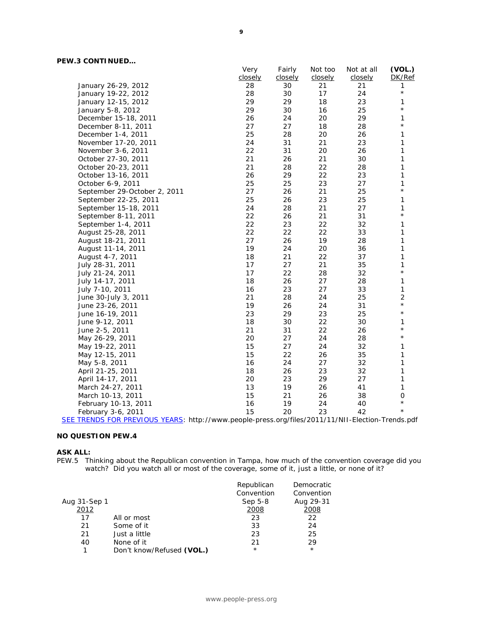|                              | Very    | Fairly  | Not too | Not at all | (VOL.)         |
|------------------------------|---------|---------|---------|------------|----------------|
|                              | closely | closely | closely | closely    | DK/Ref         |
| January 26-29, 2012          | 28      | 30      | 21      | 21         | 1              |
| January 19-22, 2012          | 28      | 30      | 17      | 24         | $\star$        |
| January 12-15, 2012          | 29      | 29      | 18      | 23         | 1              |
| January 5-8, 2012            | 29      | 30      | 16      | 25         | $\star$        |
| December 15-18, 2011         | 26      | 24      | 20      | 29         | 1              |
| December 8-11, 2011          | 27      | 27      | 18      | 28         | $\star$        |
| December 1-4, 2011           | 25      | 28      | 20      | 26         | 1              |
| November 17-20, 2011         | 24      | 31      | 21      | 23         | 1              |
| November 3-6, 2011           | 22      | 31      | 20      | 26         | 1              |
| October 27-30, 2011          | 21      | 26      | 21      | 30         | 1              |
| October 20-23, 2011          | 21      | 28      | 22      | 28         | 1              |
| October 13-16, 2011          | 26      | 29      | 22      | 23         | 1              |
| October 6-9, 2011            | 25      | 25      | 23      | 27         | 1              |
| September 29-October 2, 2011 | 27      | 26      | 21      | 25         | $\star$        |
| September 22-25, 2011        | 25      | 26      | 23      | 25         | 1              |
| September 15-18, 2011        | 24      | 28      | 21      | 27         | 1              |
| September 8-11, 2011         | 22      | 26      | 21      | 31         | $\star$        |
| September 1-4, 2011          | 22      | 23      | 22      | 32         | 1              |
| August 25-28, 2011           | 22      | 22      | 22      | 33         | 1              |
| August 18-21, 2011           | 27      | 26      | 19      | 28         | 1              |
| August 11-14, 2011           | 19      | 24      | 20      | 36         | 1              |
| August 4-7, 2011             | 18      | 21      | 22      | 37         | 1              |
| July 28-31, 2011             | 17      | 27      | 21      | 35         | 1              |
| July 21-24, 2011             | 17      | 22      | 28      | 32         | $\star$        |
| July 14-17, 2011             | 18      | 26      | 27      | 28         | 1              |
| July 7-10, 2011              | 16      | 23      | 27      | 33         | 1              |
| June 30-July 3, 2011         | 21      | 28      | 24      | 25         | $\overline{2}$ |
| June 23-26, 2011             | 19      | 26      | 24      | 31         | $\star$        |
| June 16-19, 2011             | 23      | 29      | 23      | 25         | $^{\star}$     |
| June 9-12, 2011              | 18      | 30      | 22      | 30         | 1              |
| June 2-5, 2011               | 21      | 31      | 22      | 26         | $\star$        |
| May 26-29, 2011              | 20      | 27      | 24      | 28         | $\star$        |
| May 19-22, 2011              | 15      | 27      | 24      | 32         | 1              |
| May 12-15, 2011              | 15      | 22      | 26      | 35         | 1              |
| May 5-8, 2011                | 16      | 24      | 27      | 32         | 1              |
| April 21-25, 2011            | 18      | 26      | 23      | 32         | 1              |
| April 14-17, 2011            | 20      | 23      | 29      | 27         | 1              |
| March 24-27, 2011            | 13      | 19      | 26      | 41         | 1              |
| March 10-13, 2011            | 15      | 21      | 26      | 38         | 0              |
| February 10-13, 2011         | 16      | 19      | 24      | 40         | $\star$        |
| February 3-6, 2011           | 15      | 20      | 23      | 42         | $\star$        |
|                              |         |         |         |            |                |

[SEE TRENDS FOR PREVIOUS YEARS:](http://www.people-press.org/files/2011/11/NII-Election-Trends.pdf) http://www.people-press.org/files/2011/11/NII-Election-Trends.pdf

## **NO QUESTION PEW.4**

### **ASK ALL:**

PEW.5 Thinking about the Republican convention in Tampa, how much of the convention coverage did you watch? Did you watch all or most of the coverage, some of it, just a little, or none of it?

|              |                           | Republican | Democratic |
|--------------|---------------------------|------------|------------|
|              |                           | Convention | Convention |
| Aug 31-Sep 1 |                           | Sep 5-8    | Aug 29-31  |
| 2012         |                           | 2008       | 2008       |
| 17           | All or most               | 23         | 22         |
| 21           | Some of it                | 33         | 24         |
| 21           | Just a little             | 23         | 25         |
| 40           | None of it                | 21         | 29         |
|              | Don't know/Refused (VOL.) | $^\star$   | $^\star$   |
|              |                           |            |            |